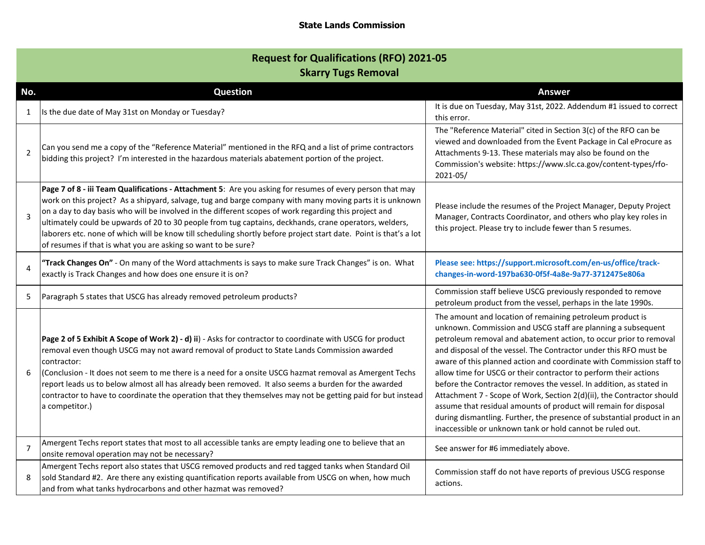## **State Lands Commission**

| <b>Request for Qualifications (RFO) 2021-05</b><br><b>Skarry Tugs Removal</b> |                                                                                                                                                                                                                                                                                                                                                                                                                                                                                                                                                                                                                                |                                                                                                                                                                                                                                                                                                                                                                                                                                                                                                                                                                                                                                                                                                                                                                            |
|-------------------------------------------------------------------------------|--------------------------------------------------------------------------------------------------------------------------------------------------------------------------------------------------------------------------------------------------------------------------------------------------------------------------------------------------------------------------------------------------------------------------------------------------------------------------------------------------------------------------------------------------------------------------------------------------------------------------------|----------------------------------------------------------------------------------------------------------------------------------------------------------------------------------------------------------------------------------------------------------------------------------------------------------------------------------------------------------------------------------------------------------------------------------------------------------------------------------------------------------------------------------------------------------------------------------------------------------------------------------------------------------------------------------------------------------------------------------------------------------------------------|
| No.                                                                           | <b>Question</b>                                                                                                                                                                                                                                                                                                                                                                                                                                                                                                                                                                                                                | <b>Answer</b>                                                                                                                                                                                                                                                                                                                                                                                                                                                                                                                                                                                                                                                                                                                                                              |
| $\mathbf{1}$                                                                  | Is the due date of May 31st on Monday or Tuesday?                                                                                                                                                                                                                                                                                                                                                                                                                                                                                                                                                                              | It is due on Tuesday, May 31st, 2022. Addendum #1 issued to correct<br>this error.                                                                                                                                                                                                                                                                                                                                                                                                                                                                                                                                                                                                                                                                                         |
| $\overline{2}$                                                                | Can you send me a copy of the "Reference Material" mentioned in the RFQ and a list of prime contractors<br>bidding this project? I'm interested in the hazardous materials abatement portion of the project.                                                                                                                                                                                                                                                                                                                                                                                                                   | The "Reference Material" cited in Section 3(c) of the RFO can be<br>viewed and downloaded from the Event Package in Cal eProcure as<br>Attachments 9-13. These materials may also be found on the<br>Commission's website: https://www.slc.ca.gov/content-types/rfo-<br>$2021 - 05/$                                                                                                                                                                                                                                                                                                                                                                                                                                                                                       |
| 3                                                                             | Page 7 of 8 - iii Team Qualifications - Attachment 5: Are you asking for resumes of every person that may<br>work on this project? As a shipyard, salvage, tug and barge company with many moving parts it is unknown<br>on a day to day basis who will be involved in the different scopes of work regarding this project and<br>ultimately could be upwards of 20 to 30 people from tug captains, deckhands, crane operators, welders,<br>laborers etc. none of which will be know till scheduling shortly before project start date. Point is that's a lot<br>of resumes if that is what you are asking so want to be sure? | Please include the resumes of the Project Manager, Deputy Project<br>Manager, Contracts Coordinator, and others who play key roles in<br>this project. Please try to include fewer than 5 resumes.                                                                                                                                                                                                                                                                                                                                                                                                                                                                                                                                                                         |
| 4                                                                             | "Track Changes On" - On many of the Word attachments is says to make sure Track Changes" is on. What<br>exactly is Track Changes and how does one ensure it is on?                                                                                                                                                                                                                                                                                                                                                                                                                                                             | Please see: https://support.microsoft.com/en-us/office/track-<br>changes-in-word-197ba630-0f5f-4a8e-9a77-3712475e806a                                                                                                                                                                                                                                                                                                                                                                                                                                                                                                                                                                                                                                                      |
| 5                                                                             | Paragraph 5 states that USCG has already removed petroleum products?                                                                                                                                                                                                                                                                                                                                                                                                                                                                                                                                                           | Commission staff believe USCG previously responded to remove<br>petroleum product from the vessel, perhaps in the late 1990s.                                                                                                                                                                                                                                                                                                                                                                                                                                                                                                                                                                                                                                              |
| 6                                                                             | Page 2 of 5 Exhibit A Scope of Work 2) - d) ii) - Asks for contractor to coordinate with USCG for product<br>removal even though USCG may not award removal of product to State Lands Commission awarded<br>contractor:<br>(Conclusion - It does not seem to me there is a need for a onsite USCG hazmat removal as Amergent Techs<br>report leads us to below almost all has already been removed. It also seems a burden for the awarded<br>contractor to have to coordinate the operation that they themselves may not be getting paid for but instead<br>a competitor.)                                                    | The amount and location of remaining petroleum product is<br>unknown. Commission and USCG staff are planning a subsequent<br>petroleum removal and abatement action, to occur prior to removal<br>and disposal of the vessel. The Contractor under this RFO must be<br>aware of this planned action and coordinate with Commission staff to<br>allow time for USCG or their contractor to perform their actions<br>before the Contractor removes the vessel. In addition, as stated in<br>Attachment 7 - Scope of Work, Section 2(d)(ii), the Contractor should<br>assume that residual amounts of product will remain for disposal<br>during dismantling. Further, the presence of substantial product in an<br>inaccessible or unknown tank or hold cannot be ruled out. |
| $\overline{7}$                                                                | Amergent Techs report states that most to all accessible tanks are empty leading one to believe that an<br>onsite removal operation may not be necessary?                                                                                                                                                                                                                                                                                                                                                                                                                                                                      | See answer for #6 immediately above.                                                                                                                                                                                                                                                                                                                                                                                                                                                                                                                                                                                                                                                                                                                                       |
| 8                                                                             | Amergent Techs report also states that USCG removed products and red tagged tanks when Standard Oil<br>sold Standard #2. Are there any existing quantification reports available from USCG on when, how much<br>and from what tanks hydrocarbons and other hazmat was removed?                                                                                                                                                                                                                                                                                                                                                 | Commission staff do not have reports of previous USCG response<br>actions.                                                                                                                                                                                                                                                                                                                                                                                                                                                                                                                                                                                                                                                                                                 |